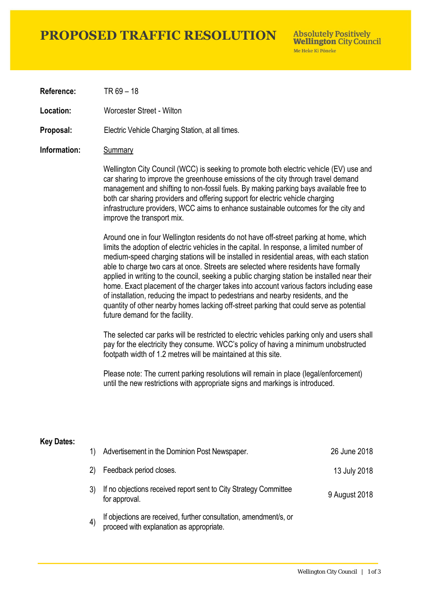## **PROPOSED TRAFFIC RESOLUTION**

**Absolutely Positively Wellington City Council** Me Heke Ki Pôneke

**Reference:** TR 69 – 18

**Location:** Worcester Street - Wilton

**Proposal:** Electric Vehicle Charging Station, at all times.

#### **Information:** Summary

Wellington City Council (WCC) is seeking to promote both electric vehicle (EV) use and car sharing to improve the greenhouse emissions of the city through travel demand management and shifting to non-fossil fuels. By making parking bays available free to both car sharing providers and offering support for electric vehicle charging infrastructure providers, WCC aims to enhance sustainable outcomes for the city and improve the transport mix.

Around one in four Wellington residents do not have off-street parking at home, which limits the adoption of electric vehicles in the capital. In response, a limited number of medium-speed charging stations will be installed in residential areas, with each station able to charge two cars at once. Streets are selected where residents have formally applied in writing to the council, seeking a public charging station be installed near their home. Exact placement of the charger takes into account various factors including ease of installation, reducing the impact to pedestrians and nearby residents, and the quantity of other nearby homes lacking off-street parking that could serve as potential future demand for the facility.

The selected car parks will be restricted to electric vehicles parking only and users shall pay for the electricity they consume. WCC's policy of having a minimum unobstructed footpath width of 1.2 metres will be maintained at this site.

Please note: The current parking resolutions will remain in place (legal/enforcement) until the new restrictions with appropriate signs and markings is introduced.

#### **Key Dates:**

| 1)  | Advertisement in the Dominion Post Newspaper.                                                                 | 26 June 2018  |
|-----|---------------------------------------------------------------------------------------------------------------|---------------|
| (2) | Feedback period closes.                                                                                       | 13 July 2018  |
|     | If no objections received report sent to City Strategy Committee<br>for approval.                             | 9 August 2018 |
|     | If objections are received, further consultation, amendment/s, or<br>proceed with explanation as appropriate. |               |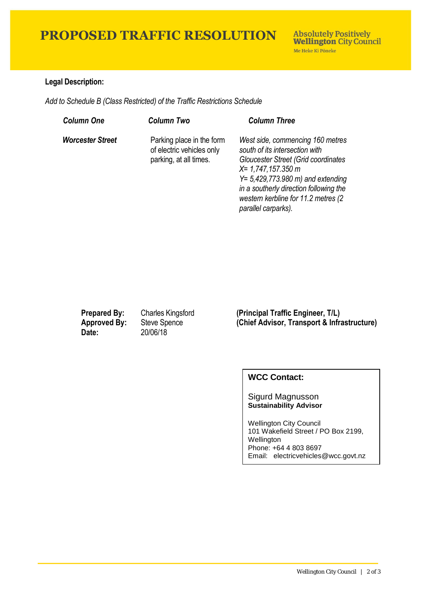# **PROPOSED TRAFFIC RESOLUTION**

### **Legal Description:**

*Add to Schedule B (Class Restricted) of the Traffic Restrictions Schedule* 

| <b>Column One</b>       | <b>Column Two</b>                                                                | <b>Column Three</b>                                                                                                                                                                                                                                                                       |
|-------------------------|----------------------------------------------------------------------------------|-------------------------------------------------------------------------------------------------------------------------------------------------------------------------------------------------------------------------------------------------------------------------------------------|
| <b>Worcester Street</b> | Parking place in the form<br>of electric vehicles only<br>parking, at all times. | West side, commencing 160 metres<br>south of its intersection with<br>Gloucester Street (Grid coordinates<br>$X = 1,747,157.350$ m<br>$Y = 5,429,773.980 \text{ m}$ and extending<br>in a southerly direction following the<br>western kerbline for 11.2 metres (2<br>parallel carparks). |

**Date:** 20/06/18

**Prepared By:** Charles Kingsford (Principal Traffic Engineer, T/L)<br> **Approved By:** Steve Spence (Chief Advisor, Transport & Infra **(Chief Advisor, Transport & Infrastructure)** 

### **WCC Contact:**

Sigurd Magnusson **Sustainability Advisor**

Wellington City Council 101 Wakefield Street / PO Box 2199, Wellington Phone: +64 4 803 8697 Email: electricvehicles@wcc.govt.nz